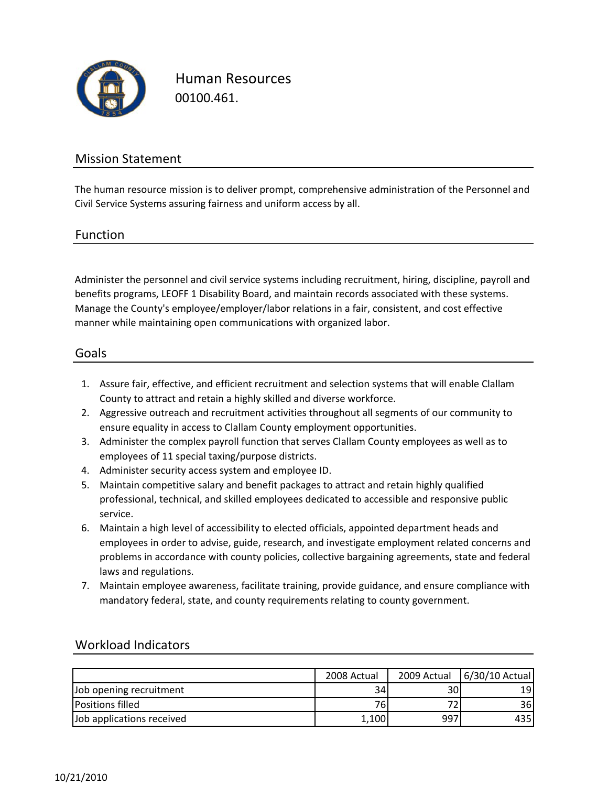

Human Resources 00100.461.

## Mission Statement

The human resource mission is to deliver prompt, comprehensive administration of the Personnel and Civil Service Systems assuring fairness and uniform access by all.

#### Function

Administer the personnel and civil service systems including recruitment, hiring, discipline, payroll and benefits programs, LEOFF 1 Disability Board, and maintain records associated with these systems. Manage the County's employee/employer/labor relations in a fair, consistent, and cost effective manner while maintaining open communications with organized labor.

### Goals

- 1. Assure fair, effective, and efficient recruitment and selection systems that will enable Clallam County to attract and retain a highly skilled and diverse workforce.
- 2. Aggressive outreach and recruitment activities throughout all segments of our community to ensure equality in access to Clallam County employment opportunities.
- 3. Administer the complex payroll function that serves Clallam County employees as well as to employees of 11 special taxing/purpose districts.
- 4. Administer security access system and employee ID.
- 5. Maintain competitive salary and benefit packages to attract and retain highly qualified professional, technical, and skilled employees dedicated to accessible and responsive public service.
- 6. Maintain a high level of accessibility to elected officials, appointed department heads and employees in order to advise, guide, research, and investigate employment related concerns and problems in accordance with county policies, collective bargaining agreements, state and federal laws and regulations.
- 7. Maintain employee awareness, facilitate training, provide guidance, and ensure compliance with mandatory federal, state, and county requirements relating to county government.

|                           | 2008 Actual     | 2009 Actual | 6/30/10 Actual |
|---------------------------|-----------------|-------------|----------------|
| Job opening recruitment   | 34 <sub>1</sub> | 30          | 191            |
| <b>Positions filled</b>   | 761             |             | 36I            |
| Job applications received | 1,100           | 997         | 435            |

### Workload Indicators